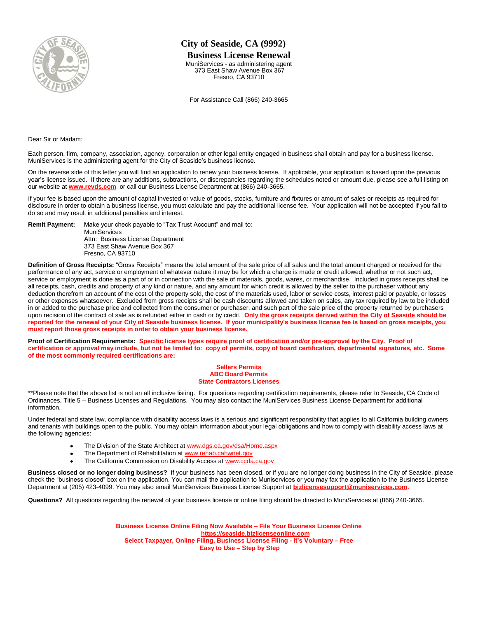

## **City of Seaside, CA (9992)**

## **Business License Renewal**

MuniServices - as administering agent 373 East Shaw Avenue Box 367 Fresno, CA 93710

For Assistance Call (866) 240-3665

Dear Sir or Madam:

Each person, firm, company, association, agency, corporation or other legal entity engaged in business shall obtain and pay for a business license. MuniServices is the administering agent for the City of Seaside's business license.

On the reverse side of this letter you will find an application to renew your business license. If applicable, your application is based upon the previous year's license issued. If there are any additions, subtractions, or discrepancies regarding the schedules noted or amount due, please see a full listing on our website at **[www.revds.com](http://www.revds.com/)** or call our Business License Department at (866) 240-3665.

If your fee is based upon the amount of capital invested or value of goods, stocks, furniture and fixtures or amount of sales or receipts as required for disclosure in order to obtain a business license, you must calculate and pay the additional license fee. Your application will not be accepted if you fail to do so and may result in additional penalties and interest.

**Remit Payment:** Make your check payable to "Tax Trust Account" and mail to:

MuniServices Attn: Business License Department 373 East Shaw Avenue Box 367 Fresno, CA 93710

**Definition of Gross Receipts:** "Gross Receipts" means the total amount of the sale price of all sales and the total amount charged or received for the performance of any act, service or employment of whatever nature it may be for which a charge is made or credit allowed, whether or not such act, service or employment is done as a part of or in connection with the sale of materials, goods, wares, or merchandise. Included in gross receipts shall be all receipts, cash, credits and property of any kind or nature, and any amount for which credit is allowed by the seller to the purchaser without any deduction therefrom an account of the cost of the property sold, the cost of the materials used, labor or service costs, interest paid or payable, or losses or other expenses whatsoever. Excluded from gross receipts shall be cash discounts allowed and taken on sales, any tax required by law to be included in or added to the purchase price and collected from the consumer or purchaser, and such part of the sale price of the property returned by purchasers upon recision of the contract of sale as is refunded either in cash or by credit. **Only the gross receipts derived within the City of Seaside should be reported for the renewal of your City of Seaside business license. If your municipality's business license fee is based on gross receipts, you must report those gross receipts in order to obtain your business license.** 

**Proof of Certification Requirements: Specific license types require proof of certification and/or pre-approval by the City. Proof of certification or approval may include, but not be limited to: copy of permits, copy of board certification, departmental signatures, etc. Some of the most commonly required certifications are:** 

## **Sellers Permits ABC Board Permits State Contractors Licenses**

\*\*Please note that the above list is not an all inclusive listing. For questions regarding certification requirements, please refer to Seaside, CA Code of Ordinances, Title 5 – Business Licenses and Regulations. You may also contact the MuniServices Business License Department for additional information.

Under federal and state law, compliance with disability access laws is a serious and significant responsibility that applies to all California building owners and tenants with buildings open to the public. You may obtain information about your legal obligations and how to comply with disability access laws at the following agencies:

- $\bullet$ The Division of the State Architect a[t www.dgs.ca.gov/dsa/Home.aspx](http://www.dgs.ca.gov/dsa/Home.aspx)
- $\bullet$ The Department of Rehabilitation a[t www.rehab.cahwnet.gov](http://www.rehab.cahwnet.gov/)
- The California Commission on Disability Access a[t www.ccda.ca.gov](http://www.ccda.ca.gov/)

**Business closed or no longer doing business?** If your business has been closed, or if you are no longer doing business in the City of Seaside, please check the "business closed" box on the application. You can mail the application to Muniservices or you may fax the application to the Business License Department at (205) 423-4099. You may also email MuniServices Business License Support at **bizlice[nsesupport@muniservices.com.](mailto:bizlicensesupport@muniservices.com)**

**Questions?** All questions regarding the renewal of your business license or online filing should be directed to MuniServices at (866) 240-3665.

**Business License Online Filing Now Available – File Your Business License Online https://seaside.bizlicenseonline.com Select Taxpayer, Online Filing, Business License Filing - It's Voluntary – Free Easy to Use – Step by Step**